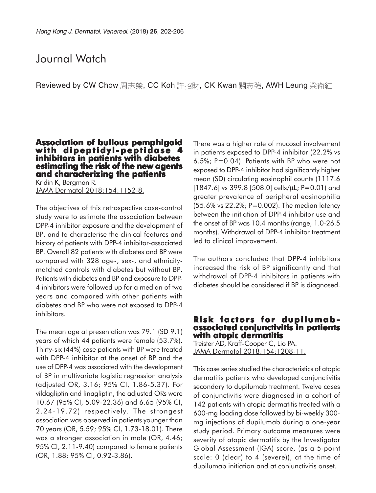# Journal Watch

Reviewed by CW Chow 周志榮, CC Koh 許招財, CK Kwan 關志強, AWH Leung 梁衛紅

#### **Association of bullous pemphigoid with dipeptidyl-peptidase 4 inhibitors in patients with diabetes estimating the risk of the new agents and characterizing the patients**

Kridin K, Bergman R. JAMA Dermatol 2018;154:1152-8.

The objectives of this retrospective case-control study were to estimate the association between DPP-4 inhibitor exposure and the development of BP, and to characterise the clinical features and history of patients with DPP-4 inhibitor-associated BP. Overall 82 patients with diabetes and BP were compared with 328 age-, sex-, and ethnicitymatched controls with diabetes but without BP. Patients with diabetes and BP and exposure to DPP-4 inhibitors were followed up for a median of two years and compared with other patients with diabetes and BP who were not exposed to DPP-4 inhibitors.

The mean age at presentation was 79.1 (SD 9.1) years of which 44 patients were female (53.7%). Thirty-six (44%) case patients with BP were treated with DPP-4 inhibitor at the onset of BP and the use of DPP-4 was associated with the development of BP in multivariate logistic regression analysis (adjusted OR, 3.16; 95% CI, 1.86-5.37). For vildagliptin and linagliptin, the adjusted ORs were 10.67 (95% CI, 5.09-22.36) and 6.65 (95% CI, 2.24-19.72) respectively. The strongest association was observed in patients younger than 70 years (OR, 5.59; 95% CI, 1.73-18.01). There was a stronger association in male (OR, 4.46; 95% CI, 2.11-9.40) compared to female patients (OR, 1.88; 95% CI, 0.92-3.86).

There was a higher rate of mucosal involvement in patients exposed to DPP-4 inhibitor (22.2% vs 6.5%; P=0.04). Patients with BP who were not exposed to DPP-4 inhibitor had significantly higher mean (SD) circulating eosinophil counts (1117.6 [1847.6] vs 399.8 [508.0] cells/ $\mu$ L; P=0.01) and greater prevalence of peripheral eosinophilia (55.6% vs 22.2%; P=0.002). The median latency between the initiation of DPP-4 inhibitor use and the onset of BP was 10.4 months (range, 1.0-26.5 months). Withdrawal of DPP-4 inhibitor treatment led to clinical improvement.

The authors concluded that DPP-4 inhibitors increased the risk of BP significantly and that withdrawal of DPP-4 inhibitors in patients with diabetes should be considered if BP is diagnosed.

# **Risk factors for dupilumab- associated conjunctivitis in patients with atopic dermatitis**

Treister AD, Kraff-Cooper C, Lio PA. JAMA Dermatol 2018;154:1208-11.

This case series studied the characteristics of atopic dermatitis patients who developed conjunctivitis secondary to dupilumab treatment. Twelve cases of conjunctivitis were diagnosed in a cohort of 142 patients with atopic dermatitis treated with a 600-mg loading dose followed by bi-weekly 300 mg injections of dupilumab during a one-year study period. Primary outcome measures were severity of atopic dermatitis by the Investigator Global Assessment (IGA) score, (as a 5-point scale: 0 (clear) to 4 (severe)), at the time of dupilumab initiation and at conjunctivitis onset.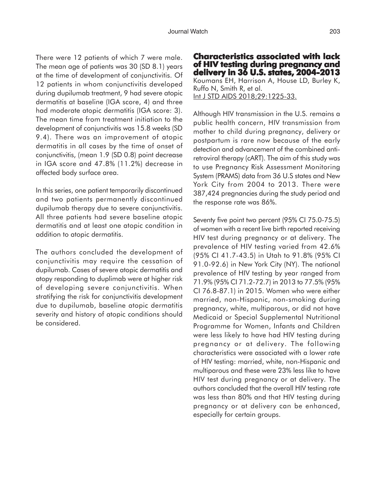There were 12 patients of which 7 were male. The mean age of patients was 30 (SD 8.1) years at the time of development of conjunctivitis. Of 12 patients in whom conjunctivitis developed during dupilumab treatment, 9 had severe atopic dermatitis at baseline (IGA score, 4) and three had moderate atopic dermatitis (IGA score: 3). The mean time from treatment initiation to the development of conjunctivitis was 15.8 weeks (SD 9.4). There was an improvement of atopic dermatitis in all cases by the time of onset of conjunctivitis, (mean 1.9 (SD 0.8) point decrease in IGA score and 47.8% (11.2%) decrease in affected body surface area.

In this series, one patient temporarily discontinued and two patients permanently discontinued dupilumab therapy due to severe conjunctivitis. All three patients had severe baseline atopic dermatitis and at least one atopic condition in addition to atopic dermatitis.

The authors concluded the development of conjunctivitis may require the cessation of dupilumab. Cases of severe atopic dermatitis and atopy responding to duplimab were at higher risk of developing severe conjunctivitis. When stratifying the risk for conjunctivitis development due to dupilumab, baseline atopic dermatitis severity and history of atopic conditions should be considered.

**Characteristics associated with lack of HIV testing during pregnancy and delivery in 36 U.S. states, 2004-2013** Koumans EH, Harrison A, House LD, Burley K, Ruffo N, Smith R, et al. Int J STD AIDS 2018;29:1225-33.

Although HIV transmission in the U.S. remains a public health concern, HIV transmission from mother to child during pregnancy, delivery or postpartum is rare now because of the early detection and advancement of the combined antiretroviral therapy (cART). The aim of this study was to use Pregnancy Risk Assessment Monitoring System (PRAMS) data from 36 U.S states and New York City from 2004 to 2013. There were 387,424 pregnancies during the study period and the response rate was 86%.

Seventy five point two percent (95% CI 75.0-75.5) of women with a recent live birth reported receiving HIV test during pregnancy or at delivery. The prevalence of HIV testing varied from 42.6% (95% CI 41.7-43.5) in Utah to 91.8% (95% CI 91.0-92.6) in New York City (NY). The national prevalence of HIV testing by year ranged from 71.9% (95% CI 71.2-72.7) in 2013 to 77.5% (95% CI 76.8-87.1) in 2015. Women who were either married, non-Hispanic, non-smoking during pregnancy, white, multiparous, or did not have Medicaid or Special Supplemental Nutritional Programme for Women, Infants and Children were less likely to have had HIV testing during pregnancy or at delivery. The following characteristics were associated with a lower rate of HIV testing: married, white, non-Hispanic and multiparous and these were 23% less like to have HIV test during pregnancy or at delivery. The authors concluded that the overall HIV testing rate was less than 80% and that HIV testing during pregnancy or at delivery can be enhanced, especially for certain groups.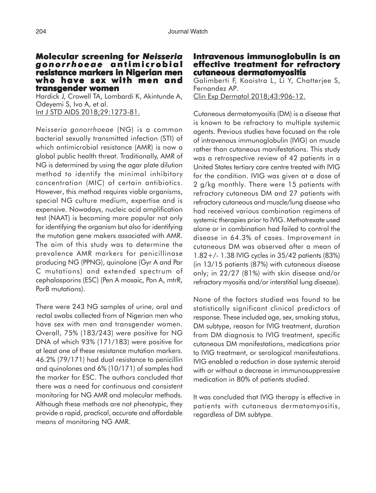### **Molecular screening for Molecular screening for** *Neisseria gonorrhoeae* **antimicrobial antimicrobial resistance markers in Nigerian men who have sex with men and transgender women**

Hardick J, Crowell TA, Lombardi K, Akintunde A, Odeyemi S, Ivo A, et al. Int J STD AIDS 2018;29:1273-81.

*Neisseria gonorrhoeae* (NG) is a common bacterial sexually transmitted infection (STI) of which antimicrobial resistance (AMR) is now a global public health threat. Traditionally, AMR of NG is determined by using the agar plate dilution method to identify the minimal inhibitory concentration (MIC) of certain antibiotics. However, this method requires viable organisms, special NG culture medium, expertise and is expensive. Nowadays, nucleic acid amplification test (NAAT) is becoming more popular not only for identifying the organism but also for identifying the mutation gene makers associated with AMR. The aim of this study was to determine the prevalence AMR markers for penicillinase producing NG (PPNG), quinolone (Gyr A and Par C mutations) and extended spectrum of cephalosporins (ESC) (Pen A mosaic, Pon A, mtrR, PorB mutations).

There were 243 NG samples of urine, oral and rectal swabs collected from of Nigerian men who have sex with men and transgender women. Overall, 75% (183/243) were positive for NG DNA of which 93% (171/183) were positive for at least one of these resistance mutation markers. 46.2% (79/171) had dual resistance to penicillin and quinolones and 6% (10/171) of samples had the marker for ESC. The authors concluded that there was a need for continuous and consistent monitoring for NG AMR and molecular methods. Although these methods are not phenotypic, they provide a rapid, practical, accurate and affordable means of monitoring NG AMR.

#### **Intravenous immunoglobulin is an effective treatment for refractory cutaneous dermatomyositis**

Galimberti F, Kooistra L, Li Y, Chatterjee S, Fernandez AP. Clin Exp Dermatol 2018;43:906-12.

Cutaneous dermatomyositis (DM) is a disease that is known to be refractory to multiple systemic agents. Previous studies have focused on the role of intravenous immunoglobulin (IVIG) on muscle rather than cutaneous manifestations. This study was a retrospective review of 42 patients in a United States tertiary care centre treated with IVIG for the condition. IVIG was given at a dose of 2 g/kg monthly. There were 15 patients with refractory cutaneous DM and 27 patients with refractory cutaneous and muscle/lung disease who had received various combination regimens of systemic therapies prior to IVIG. Methotrexate used alone or in combination had failed to control the disease in 64.3% of cases. Improvement in cutaneous DM was observed after a mean of 1.82+/- 1.38 IVIG cycles in 35/42 patients (83%) (in 13/15 patients (87%) with cutaneous disease only; in 22/27 (81%) with skin disease and/or refractory myositis and/or interstitial lung disease).

None of the factors studied was found to be statistically significant clinical predictors of response. These included age, sex, smoking status, DM subtype, reason for IVIG treatment, duration from DM diagnosis to IVIG treatment, specific cutaneous DM manifestations, medications prior to IVIG treatment, or serological manifestations. IVIG enabled a reduction in dose systemic steroid with or without a decrease in immunosuppressive medication in 80% of patients studied.

It was concluded that IVIG therapy is effective in patients with cutaneous dermatomyositis, regardless of DM subtype.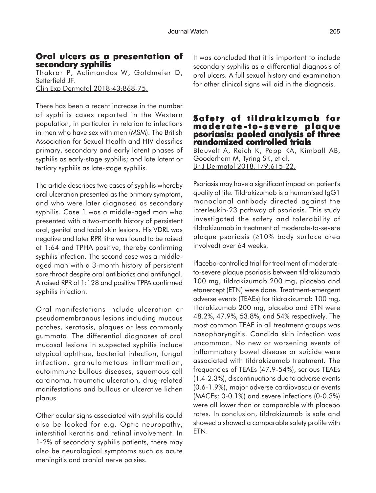### **Oral ulcers as a presentation of Oral ulcers as a secondary syphilis**

Thakrar P, Aclimandos W, Goldmeier D, Setterfield JF. Clin Exp Dermatol 2018;43:868-75.

There has been a recent increase in the number of syphilis cases reported in the Western population, in particular in relation to infections in men who have sex with men (MSM). The British Association for Sexual Health and HIV classifies primary, secondary and early latent phases of syphilis as early-stage syphilis; and late latent or tertiary syphilis as late-stage syphilis.

The article describes two cases of syphilis whereby oral ulceration presented as the primary symptom, and who were later diagnosed as secondary syphilis. Case 1 was a middle-aged man who presented with a two-month history of persistent oral, genital and facial skin lesions. His VDRL was negative and later RPR titre was found to be raised at 1:64 and TPHA positive, thereby confirming syphilis infection. The second case was a middleaged man with a 3-month history of persistent sore throat despite oral antibiotics and antifungal. A raised RPR of 1:128 and positive TPPA confirmed syphilis infection.

Oral manifestations include ulceration or pseudomembranous lesions including mucous patches, keratosis, plaques or less commonly gummata. The differential diagnoses of oral mucosal lesions in suspected syphilis include atypical aphthae, bacterial infection, fungal infection, granulomatous inflammation, autoimmune bullous diseases, squamous cell carcinoma, traumatic ulceration, drug-related manifestations and bullous or ulcerative lichen planus.

Other ocular signs associated with syphilis could also be looked for e.g. Optic neuropathy, interstitial keratitis and retinal involvement. In 1-2% of secondary syphilis patients, there may also be neurological symptoms such as acute meningitis and cranial nerve palsies.

It was concluded that it is important to include secondary syphilis as a differential diagnosis of oral ulcers. A full sexual history and examination for other clinical signs will aid in the diagnosis.

### **Safety of tildrakizumab for moderate -to - severe plaque psoriasis: pooled analysis of three randomized controlled trials**

Blauvelt A, Reich K, Papp KA, Kimball AB, Gooderham M, Tyring SK, et al. Br J Dermatol 2018;179:615-22.

Psoriasis may have a significant impact on patient's quality of life. Tildrakizumab is a humanised IgG1 monoclonal antibody directed against the interleukin-23 pathway of psoriasis. This study investigated the safety and tolerability of tildrakizumab in treatment of moderate-to-severe plaque psoriasis (≥10% body surface area involved) over 64 weeks.

Placebo-controlled trial for treatment of moderateto-severe plaque psoriasis between tildrakizumab 100 mg, tildrakizumab 200 mg, placebo and etanercept (ETN) were done. Treatment-emergent adverse events (TEAEs) for tildrakizumab 100 mg, tildrakizumab 200 mg, placebo and ETN were 48.2%, 47.9%, 53.8%, and 54% respectively. The most common TEAE in all treatment groups was nasopharyngitis. Candida skin infection was uncommon. No new or worsening events of inflammatory bowel disease or suicide were associated with tildrakizumab treatment. The frequencies of TEAEs (47.9-54%), serious TEAEs (1.4-2.3%), discontinuations due to adverse events (0.6-1.9%), major adverse cardiovascular events (MACEs; 0-0.1%) and severe infections (0-0.3%) were all lower than or comparable with placebo rates. In conclusion, tildrakizumab is safe and showed a showed a comparable safety profile with ETN.